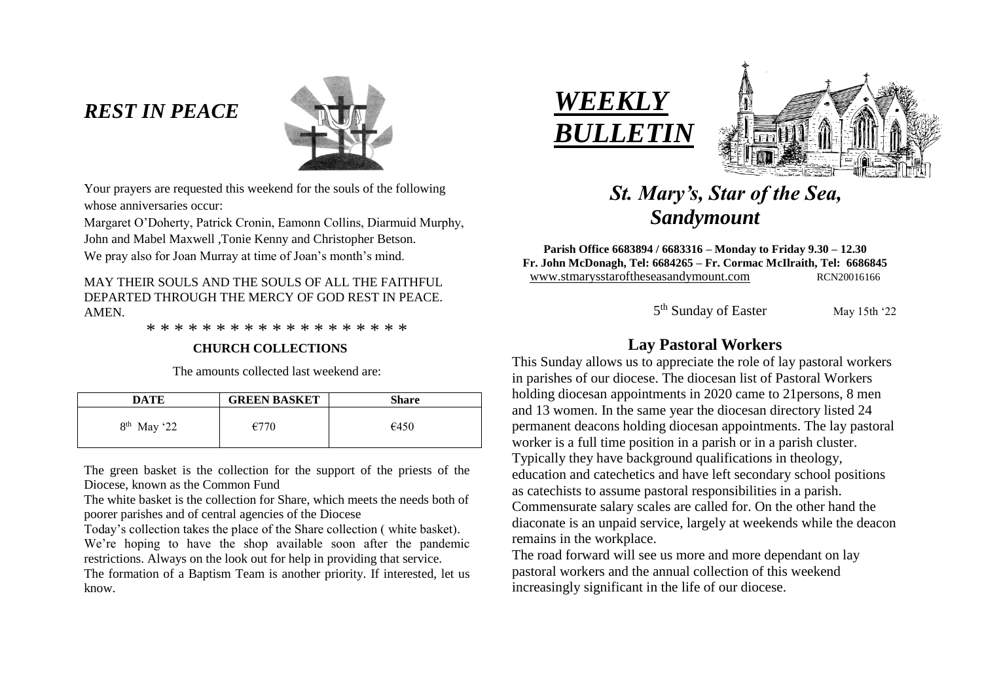# *REST IN PEACE*



Your prayers are requested this weekend for the souls of the following whose anniversaries occur:

Margaret O'Doherty, Patrick Cronin, Eamonn Collins, Diarmuid Murphy, John and Mabel Maxwell ,Tonie Kenny and Christopher Betson.

We pray also for Joan Murray at time of Joan's month's mind.

MAY THEIR SOULS AND THE SOULS OF ALL THE FAITHFUL DEPARTED THROUGH THE MERCY OF GOD REST IN PEACE. AMEN.

\* \* \* \* \* \* \* \* \* \* \* \* \* \* \* \* \* \* \*

#### **CHURCH COLLECTIONS**

The amounts collected last weekend are:

| <b>DATE</b>   | <b>GREEN BASKET</b> | Share |
|---------------|---------------------|-------|
| $8th$ May '22 | €770                | €450  |

The green basket is the collection for the support of the priests of the Diocese, known as the Common Fund

The white basket is the collection for Share, which meets the needs both of poorer parishes and of central agencies of the Diocese

Today's collection takes the place of the Share collection ( white basket). We're hoping to have the shop available soon after the pandemic restrictions. Always on the look out for help in providing that service.

The formation of a Baptism Team is another priority. If interested, let us know.





# *St. Mary's, Star of the Sea, Sandymount*

**Parish Office 6683894 / 6683316 – Monday to Friday 9.30 – 12.30 Fr. John McDonagh, Tel: 6684265 – Fr. Cormac McIlraith, Tel: 6686845** www.stmarysstaroftheseasandymount.com RCN20016166

 $\sim$  5 5<sup>th</sup> Sunday of Easter May 15th '22

# **Lay Pastoral Workers**

This Sunday allows us to appreciate the role of lay pastoral workers in parishes of our diocese. The diocesan list of Pastoral Workers holding diocesan appointments in 2020 came to 21 persons, 8 men and 13 women. In the same year the diocesan directory listed 24 permanent deacons holding diocesan appointments. The lay pastoral worker is a full time position in a parish or in a parish cluster. Typically they have background qualifications in theology, education and catechetics and have left secondary school positions as catechists to assume pastoral responsibilities in a parish. Commensurate salary scales are called for. On the other hand the diaconate is an unpaid service, largely at weekends while the deacon remains in the workplace.

The road forward will see us more and more dependant on lay pastoral workers and the annual collection of this weekend increasingly significant in the life of our diocese.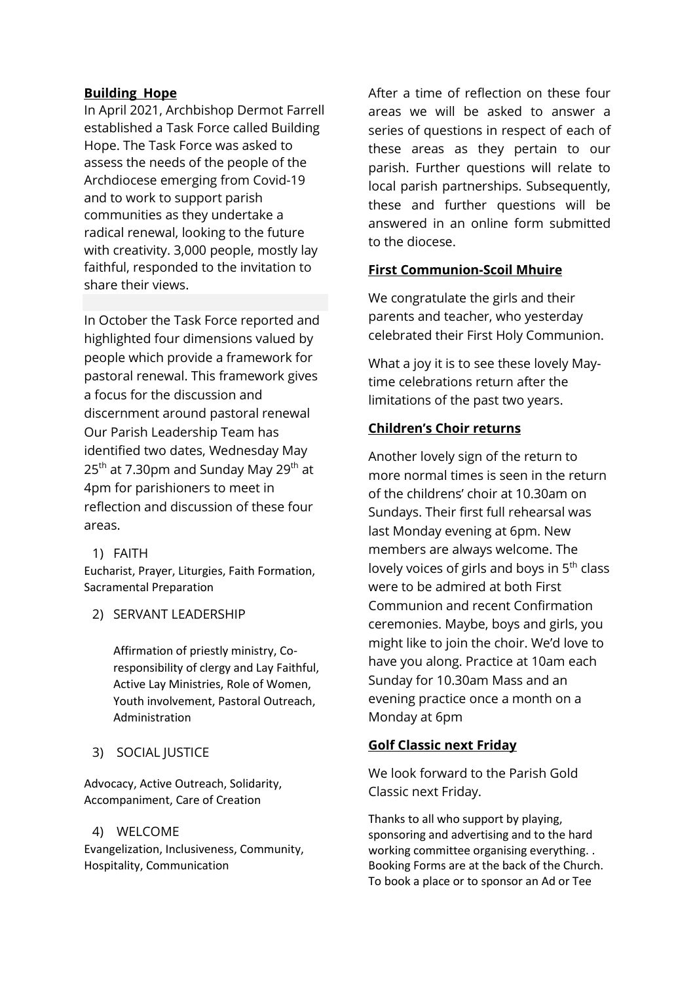#### **Building Hope**

In April 2021, Archbishop Dermot Farrell established a Task Force called Building Hope. The Task Force was asked to assess the needs of the people of the Archdiocese emerging from Covid-19 and to work to support parish communities as they undertake a radical renewal, looking to the future with creativity. 3,000 people, mostly lay faithful, responded to the invitation to share their views.

In October the Task Force reported and highlighted four dimensions valued by people which provide a framework for pastoral renewal. This framework gives a focus for the discussion and discernment around pastoral renewal Our Parish Leadership Team has identified two dates, Wednesday May 25<sup>th</sup> at 7.30pm and Sunday May 29<sup>th</sup> at 4pm for parishioners to meet in reflection and discussion of these four areas.

#### 1) FAITH

Eucharist, Prayer, Liturgies, Faith Formation, Sacramental Preparation

#### 2) SERVANT LEADERSHIP

Affirmation of priestly ministry, Coresponsibility of clergy and Lay Faithful, Active Lay Ministries, Role of Women, Youth involvement, Pastoral Outreach, Administration

# 3) SOCIAL JUSTICE

Advocacy, Active Outreach, Solidarity, Accompaniment, Care of Creation

#### 4) WELCOME

Evangelization, Inclusiveness, Community, Hospitality, Communication

After a time of reflection on these four areas we will be asked to answer a series of questions in respect of each of these areas as they pertain to our parish. Further questions will relate to local parish partnerships. Subsequently, these and further questions will be answered in an online form submitted to the diocese.

# **First Communion-Scoil Mhuire**

We congratulate the girls and their parents and teacher, who yesterday celebrated their First Holy Communion.

What a joy it is to see these lovely Maytime celebrations return after the limitations of the past two years.

### **Children's Choir returns**

Another lovely sign of the return to more normal times is seen in the return of the childrens' choir at 10.30am on Sundays. Their first full rehearsal was last Monday evening at 6pm. New members are always welcome. The lovely voices of girls and boys in 5<sup>th</sup> class were to be admired at both First Communion and recent Confirmation ceremonies. Maybe, boys and girls, you might like to join the choir. We'd love to have you along. Practice at 10am each Sunday for 10.30am Mass and an evening practice once a month on a Monday at 6pm

# **Golf Classic next Friday**

We look forward to the Parish Gold Classic next Friday.

Thanks to all who support by playing, sponsoring and advertising and to the hard working committee organising everything. . Booking Forms are at the back of the Church. To book a place or to sponsor an Ad or Tee